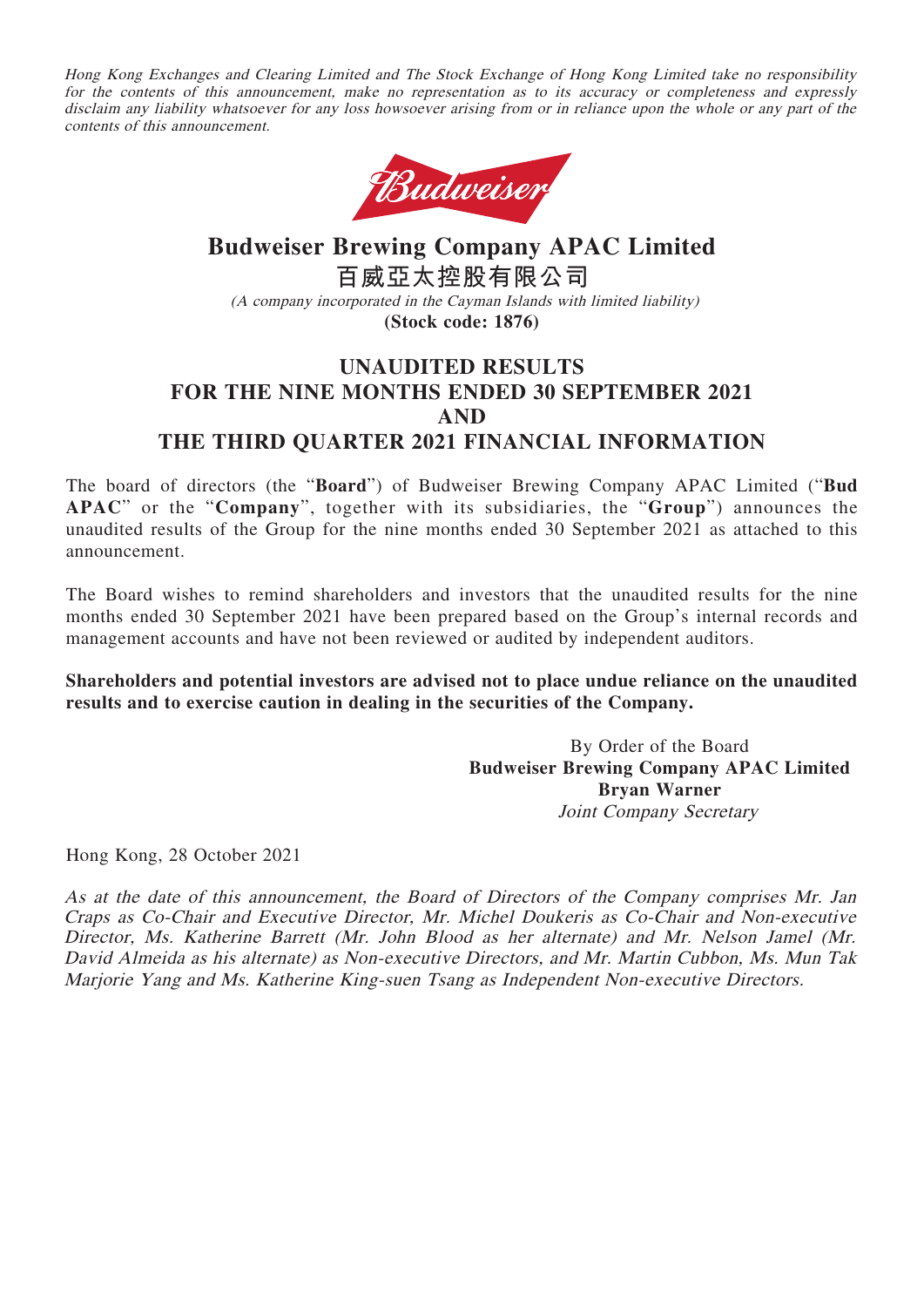Hong Kong Exchanges and Clearing Limited and The Stock Exchange of Hong Kong Limited take no responsibility for the contents of this announcement, make no representation as to its accuracy or completeness and expressly disclaim any liability whatsoever for any loss howsoever arising from or in reliance upon the whole or any part of the contents of this announcement.



# **Budweiser Brewing Company APAC Limited 百威亞太控股有限公司** (A company incorporated in the Cayman Islands with limited liability) **(Stock code: 1876)**

## **UNAUDITED RESULTS FOR THE NINE MONTHS ENDED 30 SEPTEMBER 2021 AND THE THIRD QUARTER 2021 FINANCIAL INFORMATION**

The board of directors (the "**Board**") of Budweiser Brewing Company APAC Limited ("**Bud APAC**" or the "**Company**", together with its subsidiaries, the "**Group**") announces the unaudited results of the Group for the nine months ended 30 September 2021 as attached to this announcement.

The Board wishes to remind shareholders and investors that the unaudited results for the nine months ended 30 September 2021 have been prepared based on the Group's internal records and management accounts and have not been reviewed or audited by independent auditors.

### **Shareholders and potential investors are advised not to place undue reliance on the unaudited results and to exercise caution in dealing in the securities of the Company.**

By Order of the Board **Budweiser Brewing Company APAC Limited Bryan Warner** Joint Company Secretary

Hong Kong, 28 October 2021

As at the date of this announcement, the Board of Directors of the Company comprises Mr. Jan Craps as Co-Chair and Executive Director, Mr. Michel Doukeris as Co-Chair and Non-executive Director, Ms. Katherine Barrett (Mr. John Blood as her alternate) and Mr. Nelson Jamel (Mr. David Almeida as his alternate) as Non-executive Directors, and Mr. Martin Cubbon, Ms. Mun Tak Marjorie Yang and Ms. Katherine King-suen Tsang as Independent Non-executive Directors.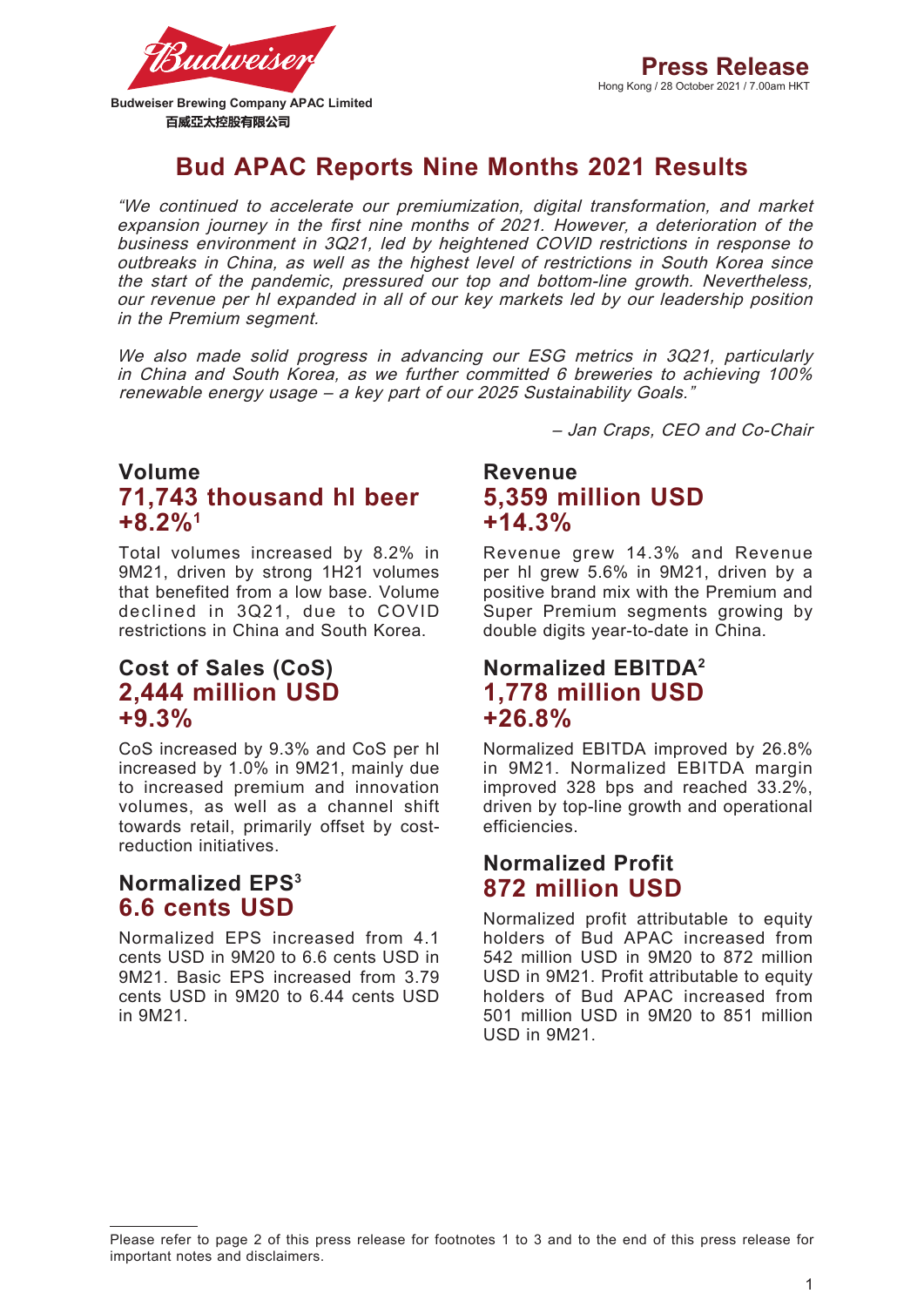

**Budweiser Brewing Company APAC Limited**  百威亞太控股有限公司

# **Bud APAC Reports Nine Months 2021 Results**

"We continued to accelerate our premiumization, digital transformation, and market expansion journey in the first nine months of 2021. However, a deterioration of the business environment in 3Q21, led by heightened COVID restrictions in response to outbreaks in China, as well as the highest level of restrictions in South Korea since the start of the pandemic, pressured our top and bottom-line growth. Nevertheless, our revenue per hl expanded in all of our key markets led by our leadership position in the Premium segment.

We also made solid progress in advancing our ESG metrics in 3Q21, particularly in China and South Korea, as we further committed 6 breweries to achieving 100% renewable energy usage – a key part of our 2025 Sustainability Goals."

– Jan Craps, CEO and Co-Chair

## **Volume 71,743 thousand hl beer +8.2%1**

Total volumes increased by 8.2% in 9M21, driven by strong 1H21 volumes that benefited from a low base. Volume declined in 3Q21, due to COVID restrictions in China and South Korea.

## **Cost of Sales (CoS) 2,444 million USD +9.3%**

CoS increased by 9.3% and CoS per hl increased by 1.0% in 9M21, mainly due to increased premium and innovation volumes, as well as a channel shift towards retail, primarily offset by costreduction initiatives.

## **Normalized EPS3 6.6 cents USD**

Normalized EPS increased from 4.1 cents USD in 9M20 to 6.6 cents USD in 9M21. Basic EPS increased from 3.79 cents USD in 9M20 to 6.44 cents USD in 9M21.

**Revenue 5,359 million USD +14.3%**

Revenue grew 14.3% and Revenue per hl grew 5.6% in 9M21, driven by a positive brand mix with the Premium and Super Premium segments growing by double digits year-to-date in China.

## **Normalized EBITDA2 1,778 million USD +26.8%**

Normalized EBITDA improved by 26.8% in 9M21. Normalized EBITDA margin improved 328 bps and reached 33.2%, driven by top-line growth and operational efficiencies.

## **Normalized Profit 872 million USD**

Normalized profit attributable to equity holders of Bud APAC increased from 542 million USD in 9M20 to 872 million USD in 9M21. Profit attributable to equity holders of Bud APAC increased from 501 million USD in 9M20 to 851 million USD in 9M21.

Please refer to page 2 of this press release for footnotes 1 to 3 and to the end of this press release for important notes and disclaimers.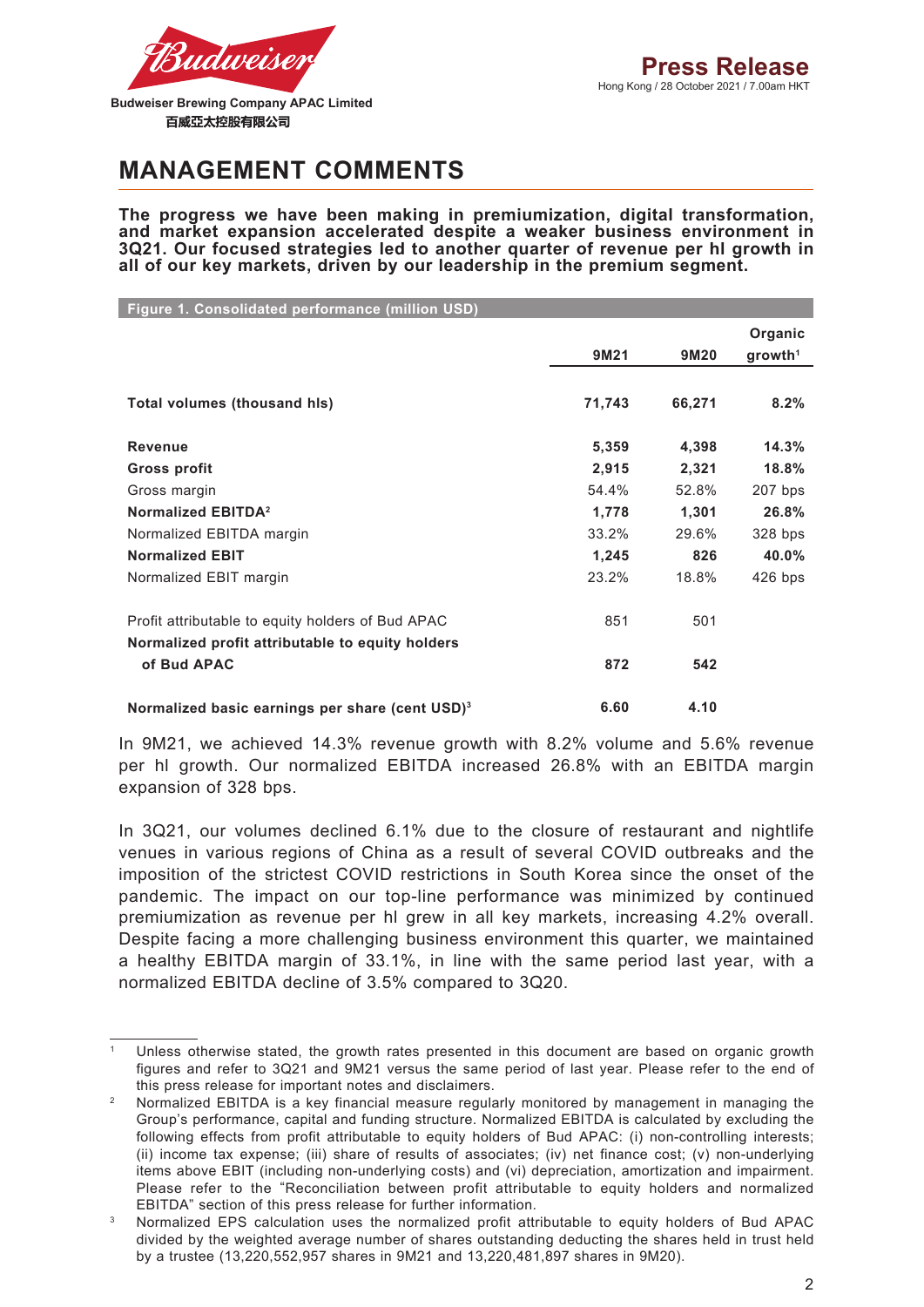

**MANAGEMENT COMMENTS**

**The progress we have been making in premiumization, digital transformation, and market expansion accelerated despite a weaker business environment in 3Q21. Our focused strategies led to another quarter of revenue per hl growth in all of our key markets, driven by our leadership in the premium segment.**

| Figure 1. Consolidated performance (million USD)            |        |        |                        |
|-------------------------------------------------------------|--------|--------|------------------------|
|                                                             |        |        | Organic                |
|                                                             | 9M21   | 9M20   | $q$ rowth <sup>1</sup> |
|                                                             |        |        |                        |
| Total volumes (thousand his)                                | 71,743 | 66,271 | 8.2%                   |
| <b>Revenue</b>                                              | 5,359  | 4,398  | 14.3%                  |
| <b>Gross profit</b>                                         | 2,915  | 2,321  | 18.8%                  |
| Gross margin                                                | 54.4%  | 52.8%  | 207 bps                |
| Normalized EBITDA <sup>2</sup>                              | 1,778  | 1,301  | 26.8%                  |
| Normalized EBITDA margin                                    | 33.2%  | 29.6%  | 328 bps                |
| <b>Normalized EBIT</b>                                      | 1,245  | 826    | 40.0%                  |
| Normalized EBIT margin                                      | 23.2%  | 18.8%  | $426$ bps              |
| Profit attributable to equity holders of Bud APAC           | 851    | 501    |                        |
| Normalized profit attributable to equity holders            |        |        |                        |
| of Bud APAC                                                 | 872    | 542    |                        |
| Normalized basic earnings per share (cent USD) <sup>3</sup> | 6.60   | 4.10   |                        |

In 9M21, we achieved 14.3% revenue growth with 8.2% volume and 5.6% revenue per hl growth. Our normalized EBITDA increased 26.8% with an EBITDA margin expansion of 328 bps.

In 3Q21, our volumes declined 6.1% due to the closure of restaurant and nightlife venues in various regions of China as a result of several COVID outbreaks and the imposition of the strictest COVID restrictions in South Korea since the onset of the pandemic. The impact on our top-line performance was minimized by continued premiumization as revenue per hl grew in all key markets, increasing 4.2% overall. Despite facing a more challenging business environment this quarter, we maintained a healthy EBITDA margin of 33.1%, in line with the same period last year, with a normalized EBITDA decline of 3.5% compared to 3Q20.

Unless otherwise stated, the growth rates presented in this document are based on organic growth figures and refer to 3Q21 and 9M21 versus the same period of last year. Please refer to the end of this press release for important notes and disclaimers.

<sup>2</sup> Normalized EBITDA is a key financial measure regularly monitored by management in managing the Group's performance, capital and funding structure. Normalized EBITDA is calculated by excluding the following effects from profit attributable to equity holders of Bud APAC: (i) non-controlling interests; (ii) income tax expense; (iii) share of results of associates; (iv) net finance cost; (v) non-underlying items above EBIT (including non-underlying costs) and (vi) depreciation, amortization and impairment. Please refer to the "Reconciliation between profit attributable to equity holders and normalized EBITDA" section of this press release for further information.

<sup>3</sup> Normalized EPS calculation uses the normalized profit attributable to equity holders of Bud APAC divided by the weighted average number of shares outstanding deducting the shares held in trust held by a trustee (13,220,552,957 shares in 9M21 and 13,220,481,897 shares in 9M20).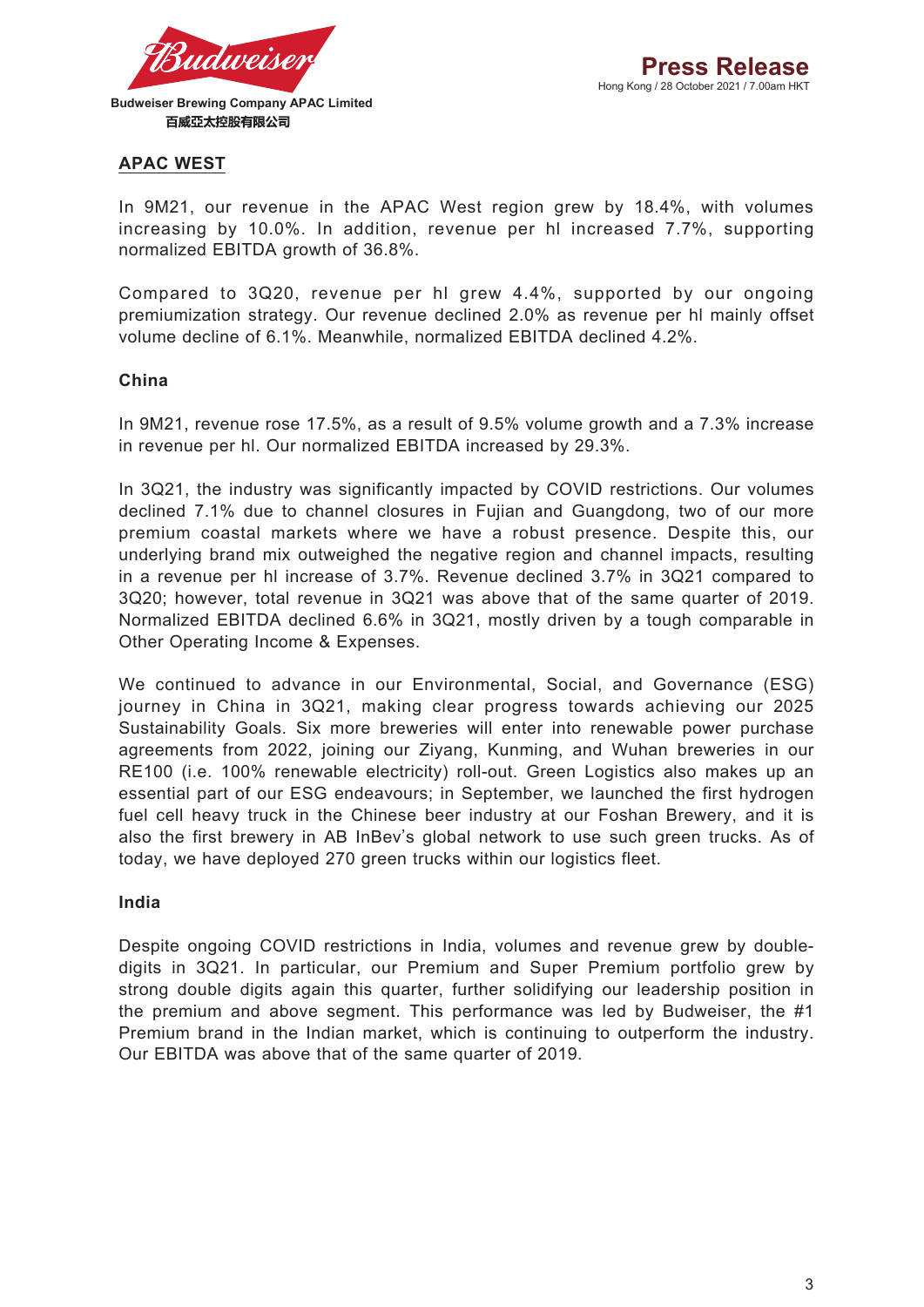

### **APAC WEST**

In 9M21, our revenue in the APAC West region grew by 18.4%, with volumes increasing by 10.0%. In addition, revenue per hl increased 7.7%, supporting normalized EBITDA growth of 36.8%.

Compared to 3Q20, revenue per hl grew 4.4%, supported by our ongoing premiumization strategy. Our revenue declined 2.0% as revenue per hl mainly offset volume decline of 6.1%. Meanwhile, normalized EBITDA declined 4.2%.

### **China**

In 9M21, revenue rose 17.5%, as a result of 9.5% volume growth and a 7.3% increase in revenue per hl. Our normalized EBITDA increased by 29.3%.

In 3Q21, the industry was significantly impacted by COVID restrictions. Our volumes declined 7.1% due to channel closures in Fujian and Guangdong, two of our more premium coastal markets where we have a robust presence. Despite this, our underlying brand mix outweighed the negative region and channel impacts, resulting in a revenue per hl increase of 3.7%. Revenue declined 3.7% in 3Q21 compared to 3Q20; however, total revenue in 3Q21 was above that of the same quarter of 2019. Normalized EBITDA declined 6.6% in 3Q21, mostly driven by a tough comparable in Other Operating Income & Expenses.

We continued to advance in our Environmental, Social, and Governance (ESG) journey in China in 3Q21, making clear progress towards achieving our 2025 Sustainability Goals. Six more breweries will enter into renewable power purchase agreements from 2022, joining our Ziyang, Kunming, and Wuhan breweries in our RE100 (i.e. 100% renewable electricity) roll-out. Green Logistics also makes up an essential part of our ESG endeavours; in September, we launched the first hydrogen fuel cell heavy truck in the Chinese beer industry at our Foshan Brewery, and it is also the first brewery in AB InBev's global network to use such green trucks. As of today, we have deployed 270 green trucks within our logistics fleet.

#### **India**

Despite ongoing COVID restrictions in India, volumes and revenue grew by doubledigits in 3Q21. In particular, our Premium and Super Premium portfolio grew by strong double digits again this quarter, further solidifying our leadership position in the premium and above segment. This performance was led by Budweiser, the #1 Premium brand in the Indian market, which is continuing to outperform the industry. Our EBITDA was above that of the same quarter of 2019.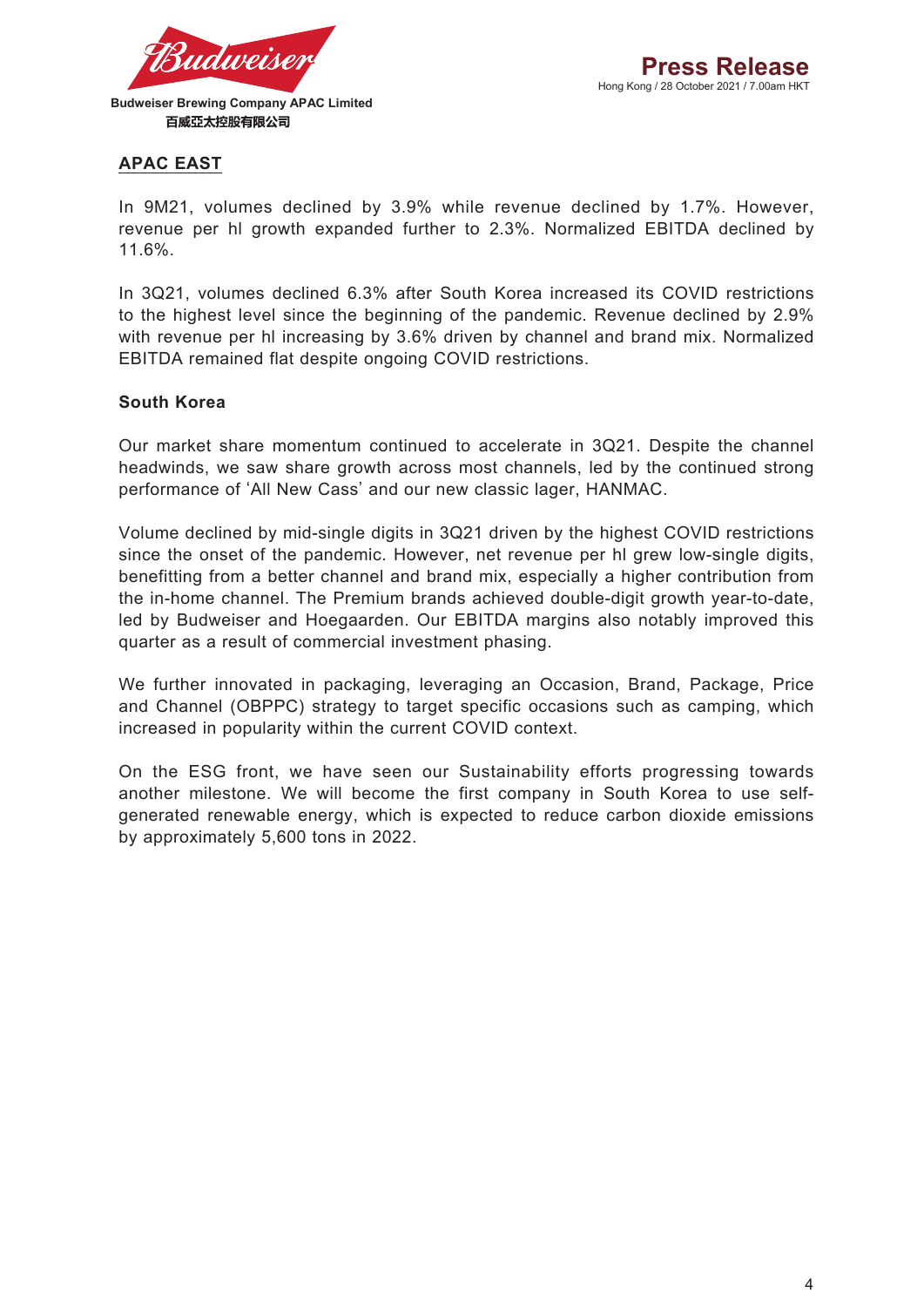

### **APAC EAST**

In 9M21, volumes declined by 3.9% while revenue declined by 1.7%. However, revenue per hl growth expanded further to 2.3%. Normalized EBITDA declined by 11.6%.

In 3Q21, volumes declined 6.3% after South Korea increased its COVID restrictions to the highest level since the beginning of the pandemic. Revenue declined by 2.9% with revenue per hl increasing by 3.6% driven by channel and brand mix. Normalized EBITDA remained flat despite ongoing COVID restrictions.

#### **South Korea**

Our market share momentum continued to accelerate in 3Q21. Despite the channel headwinds, we saw share growth across most channels, led by the continued strong performance of 'All New Cass' and our new classic lager, HANMAC.

Volume declined by mid-single digits in 3Q21 driven by the highest COVID restrictions since the onset of the pandemic. However, net revenue per hl grew low-single digits, benefitting from a better channel and brand mix, especially a higher contribution from the in-home channel. The Premium brands achieved double-digit growth year-to-date, led by Budweiser and Hoegaarden. Our EBITDA margins also notably improved this quarter as a result of commercial investment phasing.

We further innovated in packaging, leveraging an Occasion, Brand, Package, Price and Channel (OBPPC) strategy to target specific occasions such as camping, which increased in popularity within the current COVID context.

On the ESG front, we have seen our Sustainability efforts progressing towards another milestone. We will become the first company in South Korea to use selfgenerated renewable energy, which is expected to reduce carbon dioxide emissions by approximately 5,600 tons in 2022.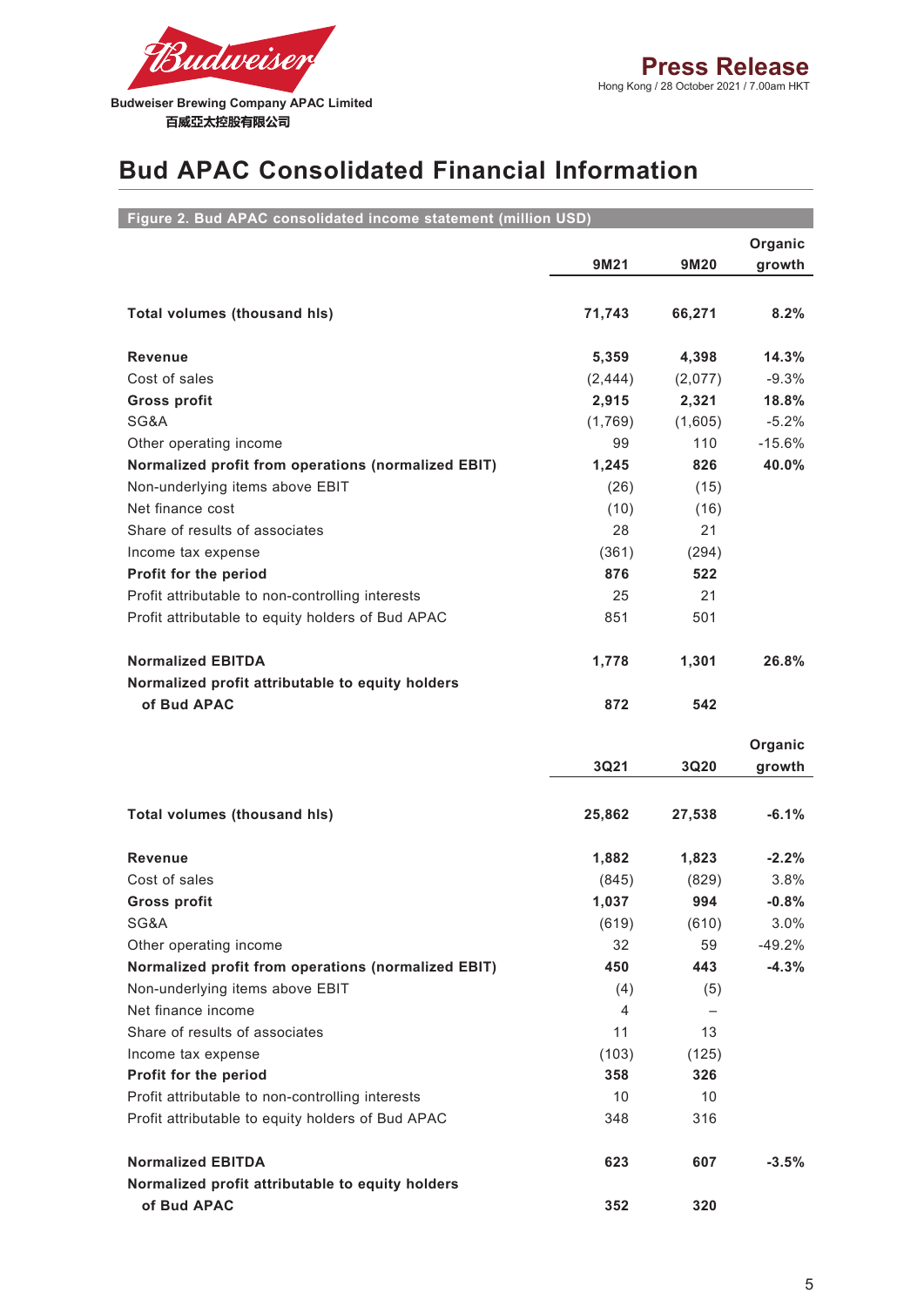

# **Bud APAC Consolidated Financial Information**

| Figure 2. Bud APAC consolidated income statement (million USD) |                |         |          |
|----------------------------------------------------------------|----------------|---------|----------|
|                                                                |                |         | Organic  |
|                                                                | 9M21           | 9M20    | growth   |
|                                                                |                |         |          |
| Total volumes (thousand his)                                   | 71,743         | 66,271  | 8.2%     |
|                                                                |                |         |          |
| <b>Revenue</b>                                                 | 5,359          | 4,398   | 14.3%    |
| Cost of sales                                                  | (2, 444)       | (2,077) | $-9.3%$  |
| <b>Gross profit</b>                                            | 2,915          | 2,321   | 18.8%    |
| SG&A                                                           | (1,769)        | (1,605) | $-5.2%$  |
| Other operating income                                         | 99             | 110     | $-15.6%$ |
| Normalized profit from operations (normalized EBIT)            | 1,245          | 826     | 40.0%    |
| Non-underlying items above EBIT                                | (26)           | (15)    |          |
| Net finance cost                                               | (10)           | (16)    |          |
| Share of results of associates                                 | 28             | 21      |          |
| Income tax expense                                             | (361)          | (294)   |          |
| Profit for the period                                          | 876            | 522     |          |
| Profit attributable to non-controlling interests               | 25             | 21      |          |
| Profit attributable to equity holders of Bud APAC              | 851            | 501     |          |
|                                                                |                |         |          |
| <b>Normalized EBITDA</b>                                       | 1,778          | 1,301   | 26.8%    |
| Normalized profit attributable to equity holders               |                |         |          |
| of Bud APAC                                                    | 872            | 542     |          |
|                                                                |                |         |          |
|                                                                |                |         | Organic  |
|                                                                | 3Q21           | 3Q20    | growth   |
|                                                                |                |         |          |
| <b>Total volumes (thousand hls)</b>                            | 25,862         | 27,538  | $-6.1%$  |
|                                                                |                |         |          |
| <b>Revenue</b>                                                 | 1,882          | 1,823   | $-2.2%$  |
| Cost of sales                                                  | (845)          | (829)   | 3.8%     |
| <b>Gross profit</b>                                            | 1,037          | 994     | $-0.8%$  |
| SG&A                                                           | (619)          | (610)   | 3.0%     |
| Other operating income                                         | 32             | 59      | $-49.2%$ |
| Normalized profit from operations (normalized EBIT)            | 450            | 443     | $-4.3%$  |
| Non-underlying items above EBIT                                | (4)            | (5)     |          |
| Net finance income                                             | $\overline{4}$ |         |          |
| Share of results of associates                                 | 11             | 13      |          |
| Income tax expense                                             | (103)          | (125)   |          |
| Profit for the period                                          | 358            | 326     |          |
| Profit attributable to non-controlling interests               | 10             | 10      |          |
| Profit attributable to equity holders of Bud APAC              | 348            | 316     |          |
|                                                                |                |         |          |
| <b>Normalized EBITDA</b>                                       | 623            | 607     | $-3.5%$  |
| Normalized profit attributable to equity holders               |                |         |          |
| of Bud APAC                                                    | 352            | 320     |          |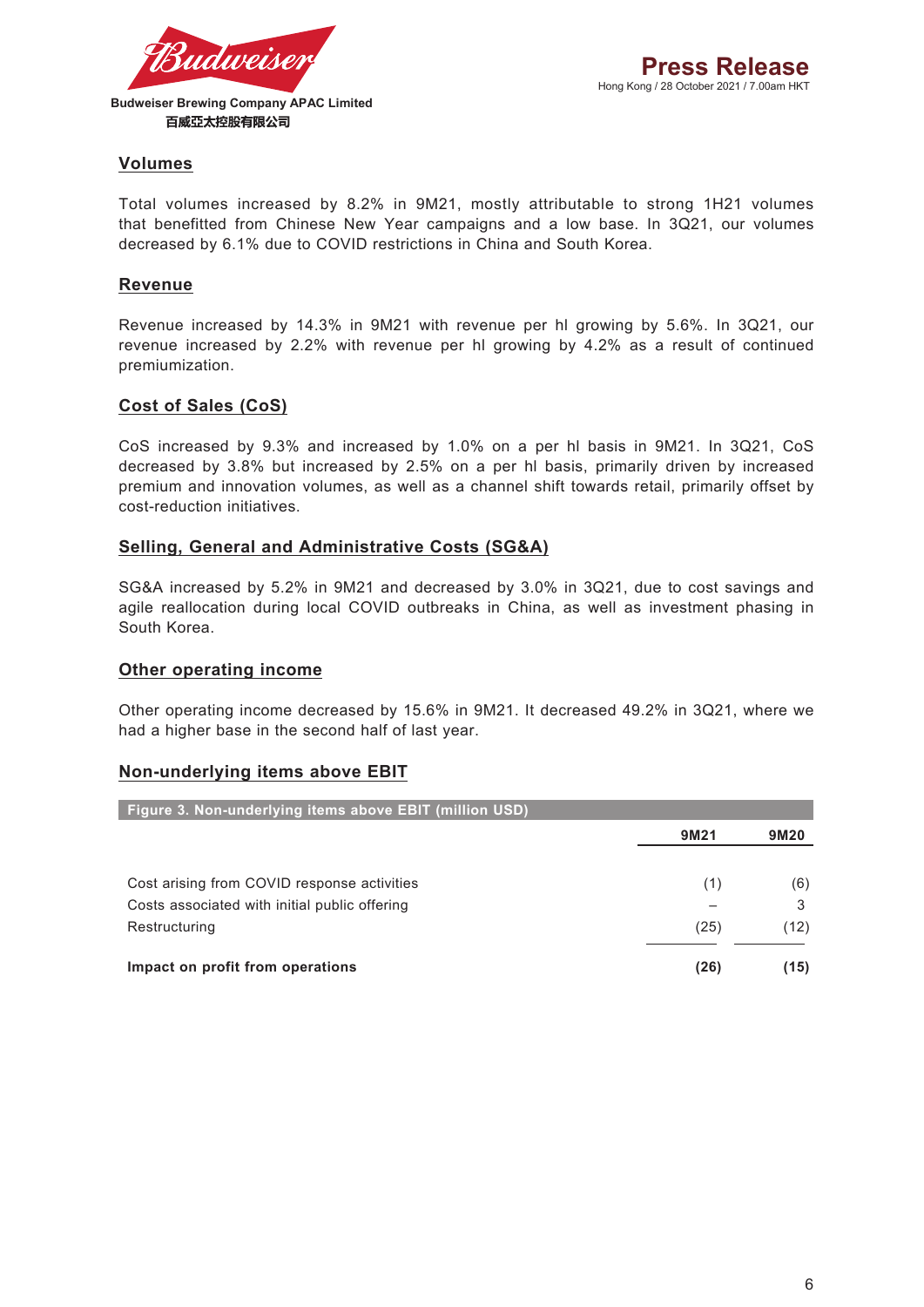

#### **Volumes**

Total volumes increased by 8.2% in 9M21, mostly attributable to strong 1H21 volumes that benefitted from Chinese New Year campaigns and a low base. In 3Q21, our volumes decreased by 6.1% due to COVID restrictions in China and South Korea.

#### **Revenue**

Revenue increased by 14.3% in 9M21 with revenue per hl growing by 5.6%. In 3Q21, our revenue increased by 2.2% with revenue per hl growing by 4.2% as a result of continued premiumization.

#### **Cost of Sales (CoS)**

CoS increased by 9.3% and increased by 1.0% on a per hl basis in 9M21. In 3Q21, CoS decreased by 3.8% but increased by 2.5% on a per hl basis, primarily driven by increased premium and innovation volumes, as well as a channel shift towards retail, primarily offset by cost-reduction initiatives.

#### **Selling, General and Administrative Costs (SG&A)**

SG&A increased by 5.2% in 9M21 and decreased by 3.0% in 3Q21, due to cost savings and agile reallocation during local COVID outbreaks in China, as well as investment phasing in South Korea.

#### **Other operating income**

Other operating income decreased by 15.6% in 9M21. It decreased 49.2% in 3Q21, where we had a higher base in the second half of last year.

#### **Non-underlying items above EBIT**

| Figure 3. Non-underlying items above EBIT (million USD) |      |      |
|---------------------------------------------------------|------|------|
|                                                         | 9M21 | 9M20 |
|                                                         |      |      |
| Cost arising from COVID response activities             | (1)  | (6)  |
| Costs associated with initial public offering           |      | 3    |
| Restructuring                                           | (25) | (12) |
|                                                         |      |      |
| Impact on profit from operations                        | (26) | (15) |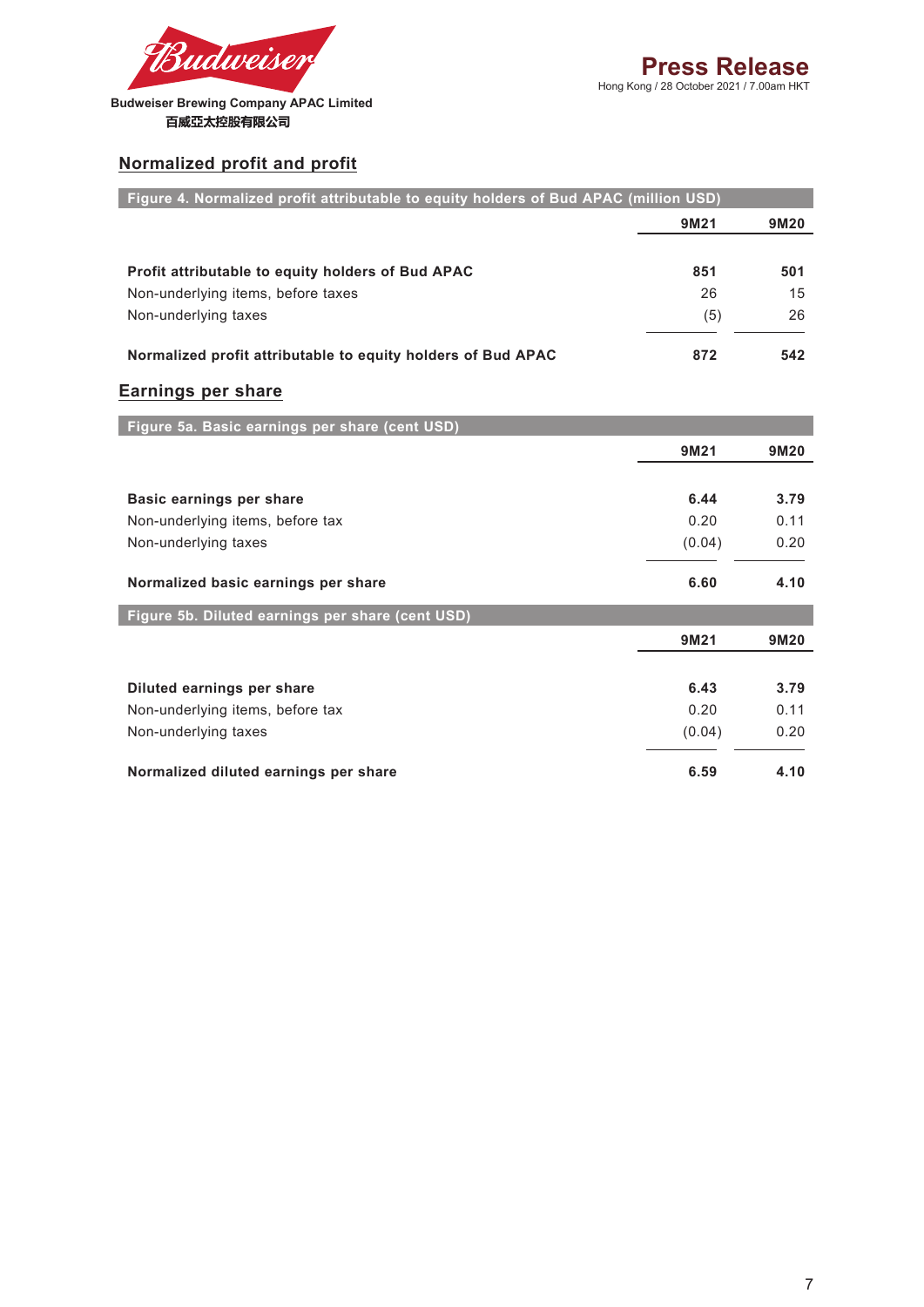

### **Normalized profit and profit**

| Figure 4. Normalized profit attributable to equity holders of Bud APAC (million USD) |        |      |
|--------------------------------------------------------------------------------------|--------|------|
|                                                                                      | 9M21   | 9M20 |
|                                                                                      |        |      |
| Profit attributable to equity holders of Bud APAC                                    | 851    | 501  |
| Non-underlying items, before taxes                                                   | 26     | 15   |
| Non-underlying taxes                                                                 | (5)    | 26   |
| Normalized profit attributable to equity holders of Bud APAC                         | 872    | 542  |
| Earnings per share                                                                   |        |      |
| Figure 5a. Basic earnings per share (cent USD)                                       |        |      |
|                                                                                      | 9M21   | 9M20 |
|                                                                                      |        |      |
| Basic earnings per share                                                             | 6.44   | 3.79 |
| Non-underlying items, before tax                                                     | 0.20   | 0.11 |
| Non-underlying taxes                                                                 | (0.04) | 0.20 |
| Normalized basic earnings per share                                                  | 6.60   | 4.10 |
| Figure 5b. Diluted earnings per share (cent USD)                                     |        |      |
|                                                                                      | 9M21   | 9M20 |
|                                                                                      | 6.43   | 3.79 |
| Diluted earnings per share<br>Non-underlying items, before tax                       | 0.20   | 0.11 |
|                                                                                      |        |      |
| Non-underlying taxes                                                                 | (0.04) | 0.20 |
| Normalized diluted earnings per share                                                | 6.59   | 4.10 |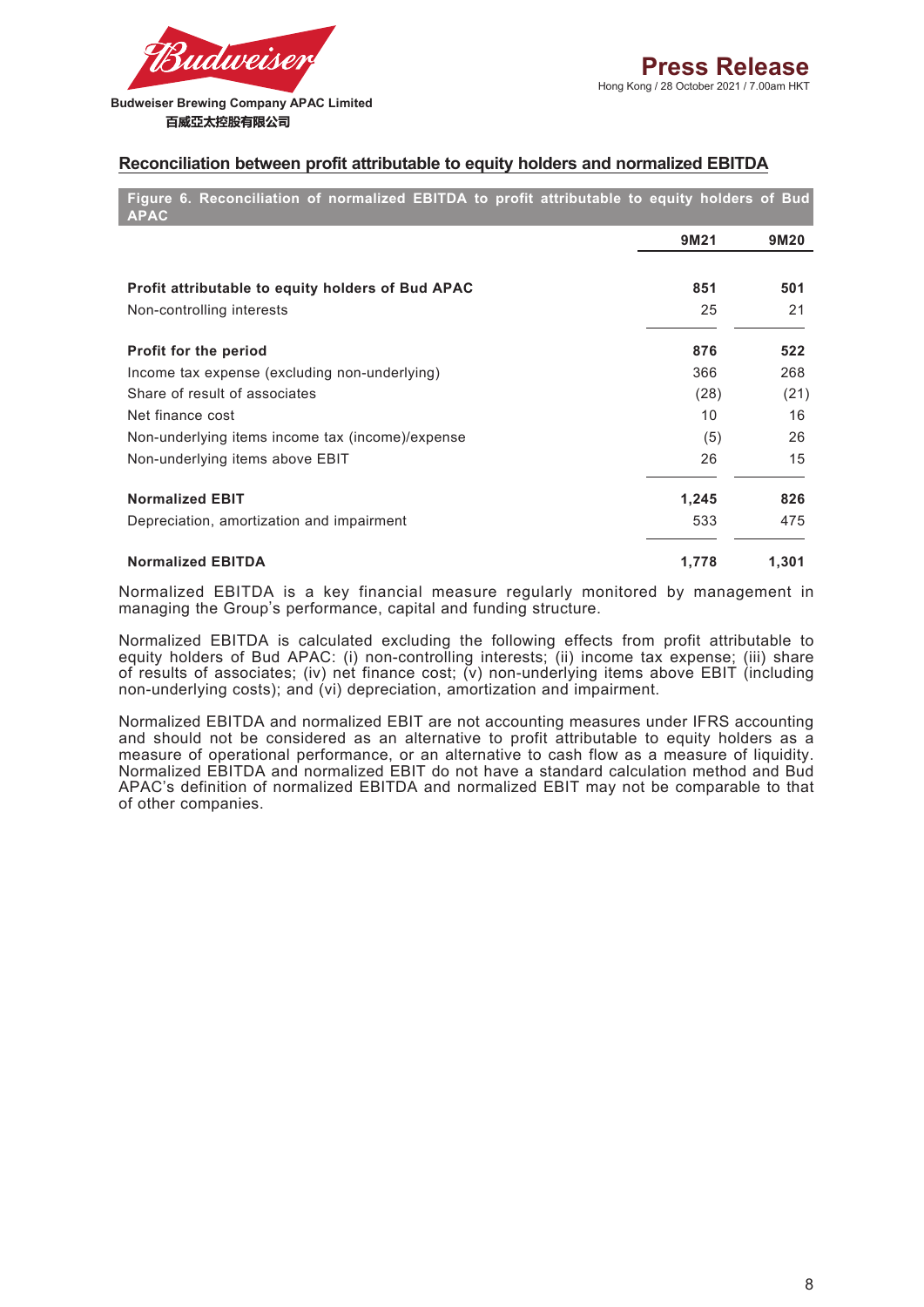

**Budweiser Brewing Company APAC Limited**  百威亞太控股有限公司

#### **Reconciliation between profit attributable to equity holders and normalized EBITDA**

**Figure 6. Reconciliation of normalized EBITDA to profit attributable to equity holders of Bud APAC**

|                                                   | 9M21  | 9M20  |
|---------------------------------------------------|-------|-------|
| Profit attributable to equity holders of Bud APAC | 851   | 501   |
| Non-controlling interests                         | 25    | 21    |
| <b>Profit for the period</b>                      | 876   | 522   |
| Income tax expense (excluding non-underlying)     | 366   | 268   |
| Share of result of associates                     | (28)  | (21)  |
| Net finance cost                                  | 10    | 16    |
| Non-underlying items income tax (income)/expense  | (5)   | 26    |
| Non-underlying items above EBIT                   | 26    | 15    |
| <b>Normalized EBIT</b>                            | 1,245 | 826   |
| Depreciation, amortization and impairment         | 533   | 475   |
| <b>Normalized EBITDA</b>                          | 1,778 | 1,301 |

Normalized EBITDA is a key financial measure regularly monitored by management in managing the Group's performance, capital and funding structure.

Normalized EBITDA is calculated excluding the following effects from profit attributable to equity holders of Bud APAC: (i) non-controlling interests; (ii) income tax expense; (iii) share of results of associates; (iv) net finance cost; (v) non-underlying items above EBIT (including non-underlying costs); and (vi) depreciation, amortization and impairment.

Normalized EBITDA and normalized EBIT are not accounting measures under IFRS accounting and should not be considered as an alternative to profit attributable to equity holders as a measure of operational performance, or an alternative to cash flow as a measure of liquidity. Normalized EBITDA and normalized EBIT do not have a standard calculation method and Bud APAC's definition of normalized EBITDA and normalized EBIT may not be comparable to that of other companies.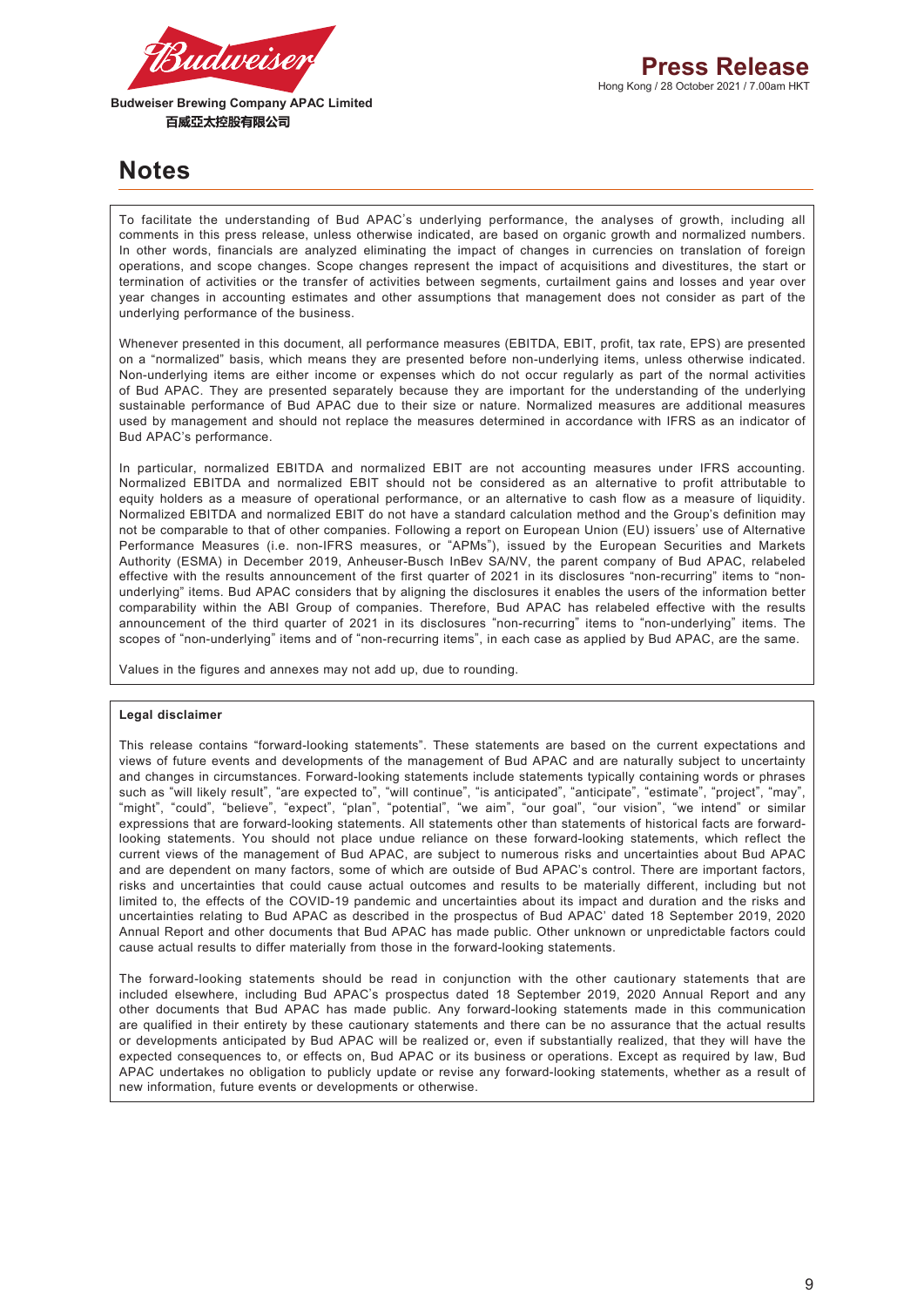

**Budweiser Brewing Company APAC Limited**  百威亞太控股有限公司

# **Notes**

To facilitate the understanding of Bud APAC's underlying performance, the analyses of growth, including all comments in this press release, unless otherwise indicated, are based on organic growth and normalized numbers. In other words, financials are analyzed eliminating the impact of changes in currencies on translation of foreign operations, and scope changes. Scope changes represent the impact of acquisitions and divestitures, the start or termination of activities or the transfer of activities between segments, curtailment gains and losses and year over year changes in accounting estimates and other assumptions that management does not consider as part of the underlying performance of the business.

Whenever presented in this document, all performance measures (EBITDA, EBIT, profit, tax rate, EPS) are presented on a "normalized" basis, which means they are presented before non-underlying items, unless otherwise indicated. Non-underlying items are either income or expenses which do not occur regularly as part of the normal activities of Bud APAC. They are presented separately because they are important for the understanding of the underlying sustainable performance of Bud APAC due to their size or nature. Normalized measures are additional measures used by management and should not replace the measures determined in accordance with IFRS as an indicator of Bud APAC's performance.

In particular, normalized EBITDA and normalized EBIT are not accounting measures under IFRS accounting. Normalized EBITDA and normalized EBIT should not be considered as an alternative to profit attributable to equity holders as a measure of operational performance, or an alternative to cash flow as a measure of liquidity. Normalized EBITDA and normalized EBIT do not have a standard calculation method and the Group's definition may not be comparable to that of other companies. Following a report on European Union (EU) issuers' use of Alternative Performance Measures (i.e. non-IFRS measures, or "APMs"), issued by the European Securities and Markets Authority (ESMA) in December 2019, Anheuser-Busch InBev SA/NV, the parent company of Bud APAC, relabeled effective with the results announcement of the first quarter of 2021 in its disclosures "non-recurring" items to "nonunderlying" items. Bud APAC considers that by aligning the disclosures it enables the users of the information better comparability within the ABI Group of companies. Therefore, Bud APAC has relabeled effective with the results announcement of the third quarter of 2021 in its disclosures "non-recurring" items to "non-underlying" items. The scopes of "non-underlying" items and of "non-recurring items", in each case as applied by Bud APAC, are the same.

Values in the figures and annexes may not add up, due to rounding.

#### **Legal disclaimer**

This release contains "forward-looking statements". These statements are based on the current expectations and views of future events and developments of the management of Bud APAC and are naturally subject to uncertainty and changes in circumstances. Forward-looking statements include statements typically containing words or phrases such as "will likely result", "are expected to", "will continue", "is anticipated", "anticipate", "estimate", "project", "may", "might", "could", "believe", "expect", "plan", "potential", "we aim", "our goal", "our vision", "we intend" or similar expressions that are forward-looking statements. All statements other than statements of historical facts are forwardlooking statements. You should not place undue reliance on these forward-looking statements, which reflect the current views of the management of Bud APAC, are subject to numerous risks and uncertainties about Bud APAC and are dependent on many factors, some of which are outside of Bud APAC's control. There are important factors, risks and uncertainties that could cause actual outcomes and results to be materially different, including but not limited to, the effects of the COVID-19 pandemic and uncertainties about its impact and duration and the risks and uncertainties relating to Bud APAC as described in the prospectus of Bud APAC' dated 18 September 2019, 2020 Annual Report and other documents that Bud APAC has made public. Other unknown or unpredictable factors could cause actual results to differ materially from those in the forward-looking statements.

The forward-looking statements should be read in conjunction with the other cautionary statements that are included elsewhere, including Bud APAC's prospectus dated 18 September 2019, 2020 Annual Report and any other documents that Bud APAC has made public. Any forward-looking statements made in this communication are qualified in their entirety by these cautionary statements and there can be no assurance that the actual results or developments anticipated by Bud APAC will be realized or, even if substantially realized, that they will have the expected consequences to, or effects on, Bud APAC or its business or operations. Except as required by law, Bud APAC undertakes no obligation to publicly update or revise any forward-looking statements, whether as a result of new information, future events or developments or otherwise.